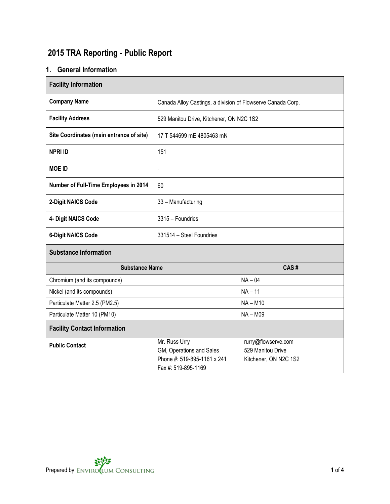# **2015 TRA Reporting - Public Report**

## **1. General Information**

| <b>Facility Information</b>              |                                                                                                                                                                      |            |  |  |  |
|------------------------------------------|----------------------------------------------------------------------------------------------------------------------------------------------------------------------|------------|--|--|--|
| <b>Company Name</b>                      | Canada Alloy Castings, a division of Flowserve Canada Corp.                                                                                                          |            |  |  |  |
| <b>Facility Address</b>                  | 529 Manitou Drive, Kitchener, ON N2C 1S2                                                                                                                             |            |  |  |  |
| Site Coordinates (main entrance of site) | 17 T 544699 mE 4805463 mN                                                                                                                                            |            |  |  |  |
| <b>NPRI ID</b>                           | 151                                                                                                                                                                  |            |  |  |  |
| <b>MOE ID</b>                            | $\overline{\phantom{a}}$                                                                                                                                             |            |  |  |  |
| Number of Full-Time Employees in 2014    | 60                                                                                                                                                                   |            |  |  |  |
| 2-Digit NAICS Code                       | 33 - Manufacturing                                                                                                                                                   |            |  |  |  |
| 4- Digit NAICS Code                      | 3315 - Foundries                                                                                                                                                     |            |  |  |  |
| <b>6-Digit NAICS Code</b>                | 331514 - Steel Foundries                                                                                                                                             |            |  |  |  |
| <b>Substance Information</b>             |                                                                                                                                                                      |            |  |  |  |
| <b>Substance Name</b>                    |                                                                                                                                                                      | CAS#       |  |  |  |
| Chromium (and its compounds)             |                                                                                                                                                                      | $NA - 04$  |  |  |  |
| Nickel (and its compounds)               |                                                                                                                                                                      | $NA - 11$  |  |  |  |
| Particulate Matter 2.5 (PM2.5)           |                                                                                                                                                                      | $NA - M10$ |  |  |  |
| Particulate Matter 10 (PM10)             | <b>NA-M09</b>                                                                                                                                                        |            |  |  |  |
| <b>Facility Contact Information</b>      |                                                                                                                                                                      |            |  |  |  |
| <b>Public Contact</b>                    | Mr. Russ Urry<br>rurry@flowserve.com<br>GM, Operations and Sales<br>529 Manitou Drive<br>Phone #: 519-895-1161 x 241<br>Kitchener, ON N2C 1S2<br>Fax #: 519-895-1169 |            |  |  |  |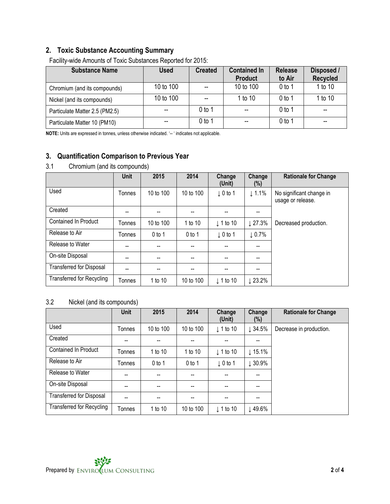## **2. Toxic Substance Accounting Summary**

| <b>Substance Name</b>          | <b>Used</b> | <b>Created</b> | <b>Contained In</b><br><b>Product</b> | <b>Release</b><br>to Air | Disposed /<br><b>Recycled</b> |
|--------------------------------|-------------|----------------|---------------------------------------|--------------------------|-------------------------------|
| Chromium (and its compounds)   | 10 to 100   |                | 10 to 100                             | $0$ to 1                 | 1 to 10                       |
| Nickel (and its compounds)     | 10 to 100   |                | 1 to 10                               | $0$ to 1                 | 1 to 10                       |
| Particulate Matter 2.5 (PM2.5) |             | 0 to 1         |                                       | $0$ to 1                 | --                            |
| Particulate Matter 10 (PM10)   |             | 0 to 1         |                                       | $0$ to 1                 |                               |

Facility-wide Amounts of Toxic Substances Reported for 2015:

**NOTE:** Units are expressed in tonnes, unless otherwise indicated. '-- ' indicates not applicable.

## **3. Quantification Comparison to Previous Year**

#### 3.1 Chromium (and its compounds)

|                                  | <b>Unit</b> | 2015      | 2014      | Change<br>(Unit)         | Change<br>$(\%)$   | <b>Rationale for Change</b>                   |
|----------------------------------|-------------|-----------|-----------|--------------------------|--------------------|-----------------------------------------------|
| Used                             | Tonnes      | 10 to 100 | 10 to 100 | $\downarrow$ 0 to 1      | $\downarrow$ 1.1%  | No significant change in<br>usage or release. |
| Created                          | --          |           | --        | --                       | --                 |                                               |
| <b>Contained In Product</b>      | Tonnes      | 10 to 100 | 1 to 10   | $\downarrow$ 1 to 10     | $\downarrow$ 27.3% | Decreased production.                         |
| Release to Air                   | Tonnes      | $0$ to 1  | $0$ to 1  | $\downarrow$ 0 to 1      | $\downarrow$ 0.7%  |                                               |
| Release to Water                 | --          | --        | --        | $-$                      | --                 |                                               |
| On-site Disposal                 |             |           | --        |                          |                    |                                               |
| <b>Transferred for Disposal</b>  | --          | --        | --        | $\overline{\phantom{a}}$ | --                 |                                               |
| <b>Transferred for Recycling</b> | Tonnes      | 1 to 10   | 10 to 100 | $\downarrow$ 1 to 10     | $23.2\%$           |                                               |

## 3.2 Nickel (and its compounds)

|                                  | <b>Unit</b> | 2015                     | 2014                     | Change<br>(Unit)         | Change<br>(%)            | <b>Rationale for Change</b> |
|----------------------------------|-------------|--------------------------|--------------------------|--------------------------|--------------------------|-----------------------------|
| Used                             | Tonnes      | 10 to 100                | 10 to 100                | $\downarrow$ 1 to 10     | $\downarrow$ 34.5%       | Decrease in production.     |
| Created                          |             |                          | --                       |                          |                          |                             |
| Contained In Product             | Tonnes      | 1 to 10                  | 1 to 10                  | $\downarrow$ 1 to 10     | $\downarrow$ 15.1%       |                             |
| Release to Air                   | Tonnes      | $0$ to 1                 | $0$ to 1                 | $\downarrow$ 0 to 1      | $\downarrow$ 30.9%       |                             |
| Release to Water                 | --          | --                       | --                       | $\overline{\phantom{a}}$ | $- -$                    |                             |
| On-site Disposal                 | --          | $\overline{\phantom{a}}$ | $\overline{\phantom{a}}$ | $\overline{\phantom{a}}$ | $\overline{\phantom{a}}$ |                             |
| <b>Transferred for Disposal</b>  | --          | --                       | --                       | $- -$                    | $- -$                    |                             |
| <b>Transferred for Recycling</b> | Tonnes      | 1 to 10                  | 10 to 100                | $\downarrow$ 1 to 10     | $\downarrow$ 49.6%       |                             |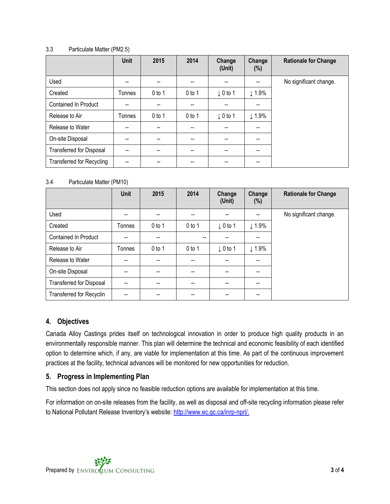#### 3.3 Particulate Matter (PM2.5)

|                                  | Unit   | 2015     | 2014     | Change<br>(Unit)    | Change<br>$(\%)$         | <b>Rationale for Change</b> |
|----------------------------------|--------|----------|----------|---------------------|--------------------------|-----------------------------|
| Used                             | --     |          | --       | --                  | --                       | No significant change.      |
| Created                          | Tonnes | $0$ to 1 | $0$ to 1 | $\downarrow$ 0 to 1 | $\downarrow$ 1.9%        |                             |
| <b>Contained In Product</b>      | --     | --       | --       | $-$                 | $-$                      |                             |
| Release to Air                   | Tonnes | $0$ to 1 | $0$ to 1 | $\downarrow$ 0 to 1 | $\downarrow$ 1.9%        |                             |
| Release to Water                 |        |          | --       | --                  | --                       |                             |
| On-site Disposal                 | --     | --       | --       | --                  | --                       |                             |
| <b>Transferred for Disposal</b>  | --     | --       | $-$      | --                  | $\overline{\phantom{a}}$ |                             |
| <b>Transferred for Recycling</b> | --     |          |          | --                  | $-$                      |                             |

#### 3.4 Particulate Matter (PM10)

|                                 | <b>Unit</b> | 2015     | 2014     | Change<br>(Unit)                      | Change<br>$(\%)$                      | <b>Rationale for Change</b> |
|---------------------------------|-------------|----------|----------|---------------------------------------|---------------------------------------|-----------------------------|
| Used                            |             |          | --       |                                       | $\overline{\phantom{a}}$              | No significant change.      |
| Created                         | Tonnes      | $0$ to 1 | $0$ to 1 | $\downarrow$ 0 to 1                   | $\downarrow$ 1.9%                     |                             |
| <b>Contained In Product</b>     |             |          | $- -$    |                                       | $- -$                                 |                             |
| Release to Air                  | Tonnes      | $0$ to 1 | $0$ to 1 | $\downarrow$ 0 to 1                   | $\downarrow$ 1.9%                     |                             |
| Release to Water                |             |          | --       |                                       | $\hspace{0.05cm}$ – $\hspace{0.05cm}$ |                             |
| On-site Disposal                |             |          | --       |                                       | $-$                                   |                             |
| Transferred for Disposal        | --          | --       | --       | $\hspace{0.05cm}$ – $\hspace{0.05cm}$ | $\hspace{0.05cm}$ – $\hspace{0.05cm}$ |                             |
| <b>Transferred for Recyclin</b> |             |          | --       |                                       | $\hspace{0.05cm}$ – $\hspace{0.05cm}$ |                             |

#### **4. Objectives**

Canada Alloy Castings prides itself on technological innovation in order to produce high quality products in an environmentally responsible manner. This plan will determine the technical and economic feasibility of each identified option to determine which, if any, are viable for implementation at this time. As part of the continuous improvement practices at the facility, technical advances will be monitored for new opportunities for reduction.

#### **5. Progress in Implementing Plan**

This section does not apply since no feasible reduction options are available for implementation at this time.

For information on on-site releases from the facility, as well as disposal and off-site recycling information please refer to National Pollutant Release Inventory's website: [http://www.ec.gc.ca/inrp-npri/.](http://www.ec.gc.ca/inrp-npri/)